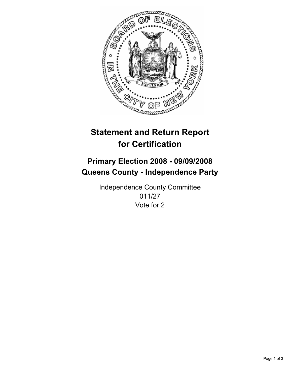

# **Statement and Return Report for Certification**

## **Primary Election 2008 - 09/09/2008 Queens County - Independence Party**

Independence County Committee 011/27 Vote for 2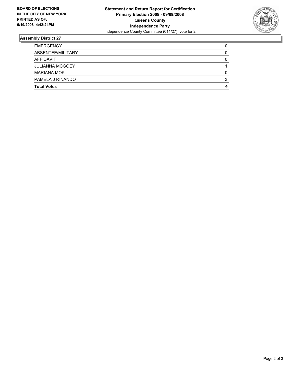

### **Assembly District 27**

| <b>EMERGENCY</b>       |  |
|------------------------|--|
| ABSENTEE/MILITARY      |  |
| AFFIDAVIT              |  |
| <b>JULIANNA MCGOEY</b> |  |
| <b>MARIANA MOK</b>     |  |
| PAMELA J RINANDO       |  |
| <b>Total Votes</b>     |  |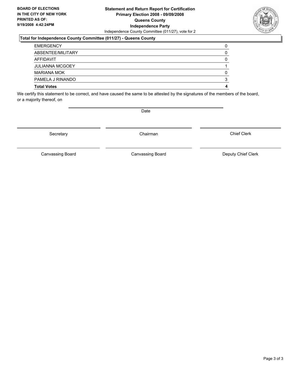#### **Statement and Return Report for Certification Primary Election 2008 - 09/09/2008 Queens County Independence Party** Independence County Committee (011/27), vote for 2

### **Total for Independence County Committee (011/27) - Queens County**

| <b>EMERGENCY</b>       |  |
|------------------------|--|
| ABSENTEE/MILITARY      |  |
| AFFIDAVIT              |  |
| <b>JULIANNA MCGOEY</b> |  |
| <b>MARIANA MOK</b>     |  |
| PAMELA J RINANDO       |  |
| <b>Total Votes</b>     |  |

We certify this statement to be correct, and have caused the same to be attested by the signatures of the members of the board, or a majority thereof, on

Secretary **Chairman** 

Chief Clerk

Canvassing Board **Canvassing Board** Canvassing Board **Deputy Chief Clerk** 

Canvassing Board



Date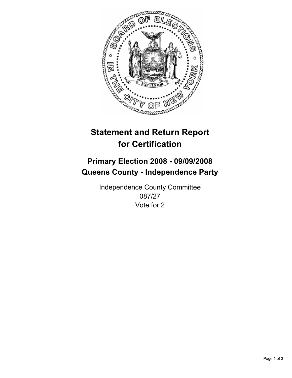

# **Statement and Return Report for Certification**

## **Primary Election 2008 - 09/09/2008 Queens County - Independence Party**

Independence County Committee 087/27 Vote for 2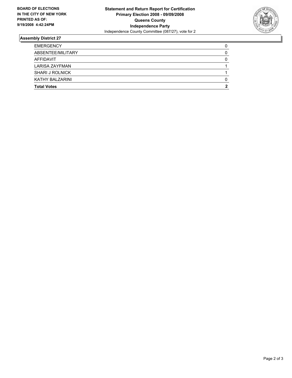

### **Assembly District 27**

| <b>EMERGENCY</b>       |  |
|------------------------|--|
| ABSENTEE/MILITARY      |  |
| <b>AFFIDAVIT</b>       |  |
| LARISA ZAYFMAN         |  |
| <b>SHARI J ROLNICK</b> |  |
| KATHY BALZARINI        |  |
| <b>Total Votes</b>     |  |